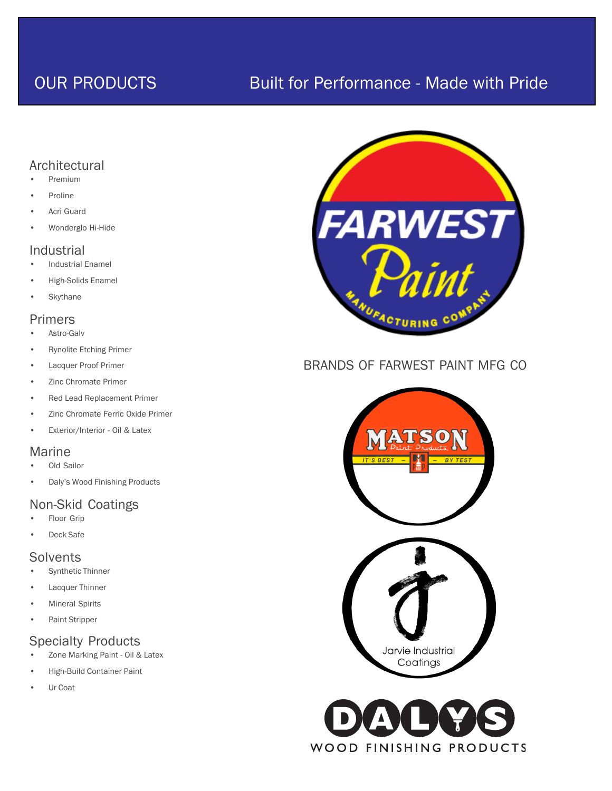## OUR PRODUCTS Built for Performance - Made with Pride

## Architectural

- Premium
- **Proline**
- Acri Guard
- Wonderglo Hi-Hide

## Industrial

- Industrial Enamel
- High-Solids Enamel
- **Skythane**

## Primers

- Astro-Galv
- Rynolite Etching Primer
- Lacquer Proof Primer
- Zinc Chromate Primer
- Red Lead Replacement Primer
- Zinc Chromate Ferric Oxide Primer
- Exterior/Interior Oil & Latex

## Marine

- Old Sailor
- Daly's Wood Finishing Products

## Non-Skid Coatings

- Floor Grip
- Deck Safe

## **Solvents**

- Synthetic Thinner
- Lacquer Thinner
- **Mineral Spirits**
- Paint Stripper

## Specialty Products

- Zone Marking Paint Oil & Latex
- High-Build Container Paint
- Ur Coat



## BRANDS OF FARWEST PAINT MFG CO



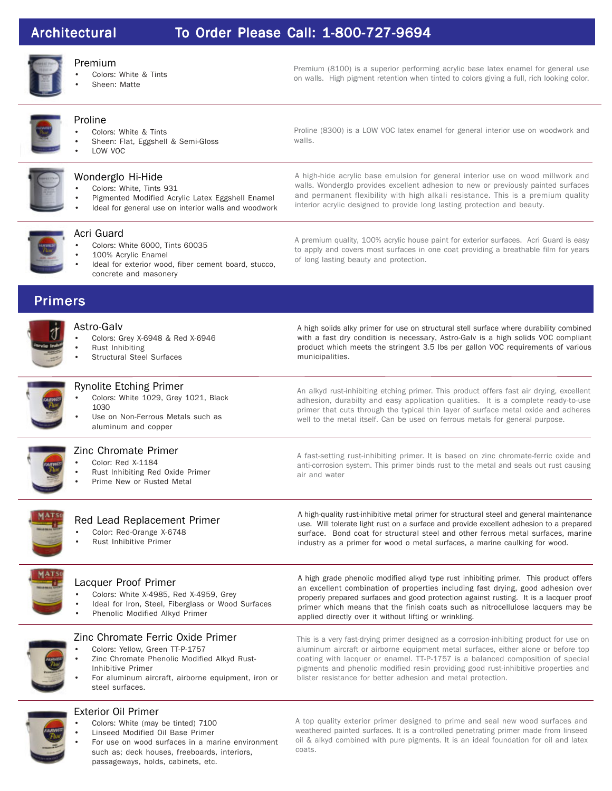## Architectural Architectural Architectural To Order Please Call: 1-800-727-9694

walls.



#### Premium

- Colors: White & Tints
- Sheen: Matte

Premium (8100) is a superior performing acrylic base latex enamel for general use on walls. High pigment retention when tinted to colors giving a full, rich looking color.

Proline (8300) is a LOW VOC latex enamel for general interior use on woodwork and

### Proline

- Colors: White & Tints
- Sheen: Flat, Eggshell & Semi-Gloss
- LOW VOC



#### Wonderglo Hi-Hide Colors: White, Tints 931

- Pigmented Modified Acrylic Latex Eggshell Enamel
- Ideal for general use on interior walls and woodwork



#### Acri Guard

- Colors: White 6000, Tints 60035
- 100% Acrylic Enamel
- Ideal for exterior wood, fiber cement board, stucco, concrete and masonery

A high-hide acrylic base emulsion for general interior use on wood millwork and walls. Wonderglo provides excellent adhesion to new or previously painted surfaces and permanent flexibility with high alkali resistance. This is a premium quality

interior acrylic designed to provide long lasting protection and beauty.

A premium quality, 100% acrylic house paint for exterior surfaces. Acri Guard is easy to apply and covers most surfaces in one coat providing a breathable film for years of long lasting beauty and protection.

## Primers



## Astro-Galv

- Colors: Grey X-6948 & Red X-6946
- Rust Inhibiting
- Structural Steel Surfaces

A high solids alky primer for use on structural stell surface where durability combined with a fast dry condition is necessary, Astro-Galv is a high solids VOC compliant product which meets the stringent 3.5 lbs per gallon VOC requirements of various municipalities.

#### Rynolite Etching Primer Colors: White 1029, Grey 1021, Black 1030

Use on Non-Ferrous Metals such as aluminum and copper



## Zinc Chromate Primer

- Color: Red X-1184
- Rust Inhibiting Red Oxide Primer
- Prime New or Rusted Metal

An alkyd rust-inhibiting etching primer. This product offers fast air drying, excellent adhesion, durabilty and easy application qualities. It is a complete ready-to-use primer that cuts through the typical thin layer of surface metal oxide and adheres well to the metal itself. Can be used on ferrous metals for general purpose.

A fast-setting rust-inhibiting primer. It is based on zinc chromate-ferric oxide and anti-corrosion system. This primer binds rust to the metal and seals out rust causing air and water

A high-quality rust-inhibitive metal primer for structural steel and general maintenance use. Will tolerate light rust on a surface and provide excellent adhesion to a prepared surface. Bond coat for structural steel and other ferrous metal surfaces, marine industry as a primer for wood o metal surfaces, a marine caulking for wood.



## Red Lead Replacement Primer

- Color: Red-Orange X-6748
- Rust Inhibitive Primer

# Lacquer Proof Primer

- Colors: White X-4985, Red X-4959, Grey
- Ideal for Iron, Steel, Fiberglass or Wood Surfaces
- Phenolic Modified Alkyd Primer



- Zinc Chromate Ferric Oxide Primer
- Colors: Yellow, Green TT-P-1757
- Zinc Chromate Phenolic Modified Alkyd Rust-Inhibitive Primer
- For aluminum aircraft, airborne equipment, iron or steel surfaces.

## Exterior Oil Primer

- Colors: White (may be tinted) 7100
- Linseed Modified Oil Base Primer
- For use on wood surfaces in a marine environment such as; deck houses, freeboards, interiors, passageways, holds, cabinets, etc.

A high grade phenolic modified alkyd type rust inhibiting primer. This product offers an excellent combination of properties including fast drying, good adhesion over properly prepared surfaces and good protection against rusting. It is a lacquer proof primer which means that the finish coats such as nitrocellulose lacquers may be applied directly over it without lifting or wrinkling.

This is a very fast-drying primer designed as a corrosion-inhibiting product for use on aluminum aircraft or airborne equipment metal surfaces, either alone or before top coating with lacquer or enamel. TT-P-1757 is a balanced composition of special pigments and phenolic modified resin providing good rust-inhibitive properties and blister resistance for better adhesion and metal protection.

A top quality exterior primer designed to prime and seal new wood surfaces and weathered painted surfaces. It is a controlled penetrating primer made from linseed oil & alkyd combined with pure pigments. It is an ideal foundation for oil and latex coats.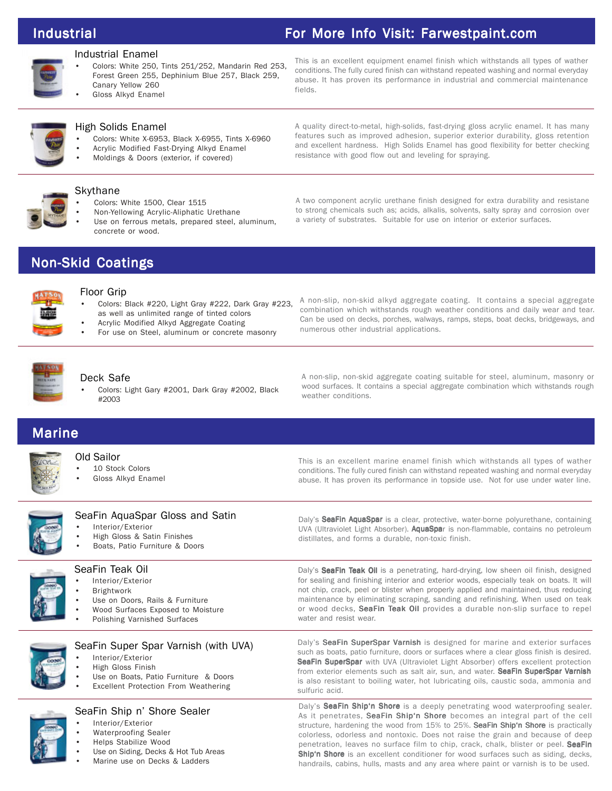## Industrial For More Info Visit: Farwestpaint.com

resistance with good flow out and leveling for spraying.

### Industrial Enamel

- Colors: White 250, Tints 251/252, Mandarin Red 253, Forest Green 255, Dephinium Blue 257, Black 259, Canary Yellow 260
- Gloss Alkyd Enamel

This is an excellent equipment enamel finish which withstands all types of wather conditions. The fully cured finish can withstand repeated washing and normal everyday abuse. It has proven its performance in industrial and commercial maintenance fields.

A quality direct-to-metal, high-solids, fast-drying gloss acrylic enamel. It has many features such as improved adhesion, superior exterior durability, gloss retention and excellent hardness. High Solids Enamel has good flexibility for better checking



### High Solids Enamel

- Colors: White X-6953, Black X-6955, Tints X-6960
- Acrylic Modified Fast-Drying Alkyd Enamel
- Moldings & Doors (exterior, if covered)

#### Skythane

- Colors: White 1500, Clear 1515
- Non-Yellowing Acrylic-Aliphatic Urethane
- Use on ferrous metals, prepared steel, aluminum, concrete or wood.

A two component acrylic urethane finish designed for extra durability and resistane to strong chemicals such as; acids, alkalis, solvents, salty spray and corrosion over a variety of substrates. Suitable for use on interior or exterior surfaces.

## **Non-Skid Coatings**



#### Floor Grip

- Colors: Black #220, Light Gray #222, Dark Gray #223, as well as unlimited range of tinted colors
- Acrylic Modified Alkyd Aggregate Coating
- For use on Steel, aluminum or concrete masonry

A non-slip, non-skid alkyd aggregate coating. It contains a special aggregate combination which withstands rough weather conditions and daily wear and tear. Can be used on decks, porches, walways, ramps, steps, boat decks, bridgeways, and numerous other industrial applications.

#### Deck Safe

• Colors: Light Gary #2001, Dark Gray #2002, Black #2003

A non-slip, non-skid aggregate coating suitable for steel, aluminum, masonry or wood surfaces. It contains a special aggregate combination which withstands rough weather conditions.

## **Marine**



- Old Sailor 10 Stock Colors
- Gloss Alkyd Enamel

This is an excellent marine enamel finish which withstands all types of wather conditions. The fully cured finish can withstand repeated washing and normal everyday abuse. It has proven its performance in topside use. Not for use under water line.



### SeaFin AquaSpar Gloss and Satin

- Interior/Exterior
- High Gloss & Satin Finishes
- Boats, Patio Furniture & Doors



### SeaFin Teak Oil

- Interior/Exterior
- **Brightwork**
- Use on Doors, Rails & Furniture
- Wood Surfaces Exposed to Moisture
- Polishing Varnished Surfaces



## SeaFin Super Spar Varnish (with UVA)

- Interior/Exterior
- High Gloss Finish
- Use on Boats, Patio Furniture & Doors
- **Excellent Protection From Weathering**



## SeaFin Ship n' Shore Sealer

- Interior/Exterior
- Waterproofing Sealer
- Helps Stabilize Wood
- Use on Siding, Decks & Hot Tub Areas
- Marine use on Decks & Ladders

Daly's SeaFin AquaSpar is a clear, protective, water-borne polyurethane, containing UVA (Ultraviolet Light Absorber). AquaSpar is non-flammable, contains no petroleum distillates, and forms a durable, non-toxic finish.

Daly's SeaFin Teak Oil is a penetrating, hard-drying, low sheen oil finish, designed for sealing and finishing interior and exterior woods, especially teak on boats. It will not chip, crack, peel or blister when properly applied and maintained, thus reducing maintenance by eliminating scraping, sanding and refinishing. When used on teak or wood decks, SeaFin Teak Oil provides a durable non-slip surface to repel water and resist wear.

Daly's SeaFin SuperSpar Varnish is designed for marine and exterior surfaces such as boats, patio furniture, doors or surfaces where a clear gloss finish is desired. SeaFin SuperSpar with UVA (Ultraviolet Light Absorber) offers excellent protection from exterior elements such as salt air, sun, and water. SeaFin SuperSpar Varnish is also resistant to boiling water, hot lubricating oils, caustic soda, ammonia and sulfuric acid.

Daly's SeaFin Ship'n Shore is a deeply penetrating wood waterproofing sealer. As it penetrates, SeaFin Ship'n Shore becomes an integral part of the cell structure, hardening the wood from 15% to 25%. SeaFin Ship'n Shore is practically colorless, odorless and nontoxic. Does not raise the grain and because of deep penetration, leaves no surface film to chip, crack, chalk, blister or peel. SeaFin Ship'n Shore is an excellent conditioner for wood surfaces such as siding, decks, handrails, cabins, hulls, masts and any area where paint or varnish is to be used.